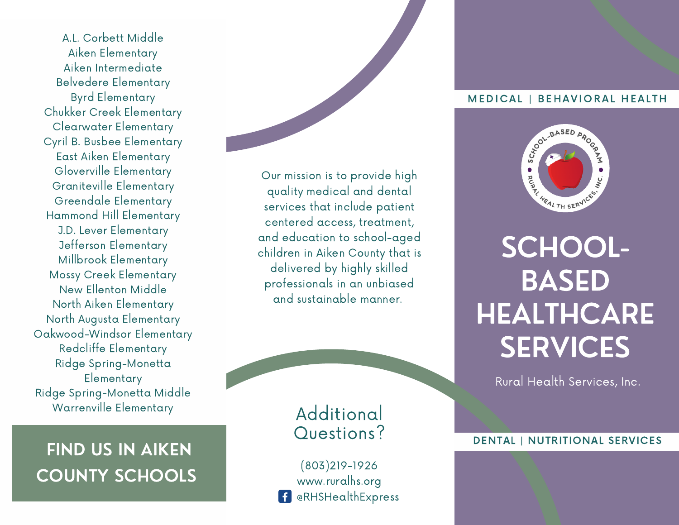A.L. Corbett Middle Aiken Elementary Aiken Intermediate Belvedere Elementary Byrd Elementary Chukker Creek Elementary Clearwater Elementary Cyril B. Busbee Elementary East Aiken Elementary Gloverville Elementary Graniteville Elementary Greendale Elementary Hammond Hill Elementary J.D. Lever Elementary Jefferson Elementary Millbrook Elementary Mossy Creek Elementary New Ellenton Middle North Aiken Elementary North Augusta Elementary Oakwood-Windsor Elementary Redcliffe Elementary Ridge Spring-Monetta **Elementary** Ridge Spring-Monetta Middle Warrenville Elementary

## FIND US IN AIKEN COUNTY SCHOOLS

Our mission is to provide high quality medical and dental services that include patient centered access, treatment, and education to school-aged children in Aiken County that is delivered by highly skilled professionals in an unbiased and sustainable manner.

### Additional Questions?

(803)219-1926 www.ruralhs.org @RHSHealthExpress

### MEDICAL | BEHAVIORAL HEALTH



SCHOOL-BASED **HEALTHCARE SERVICES** 

Rural Health Services, Inc.

### DENTAL | NUTRITIONAL SERVICES